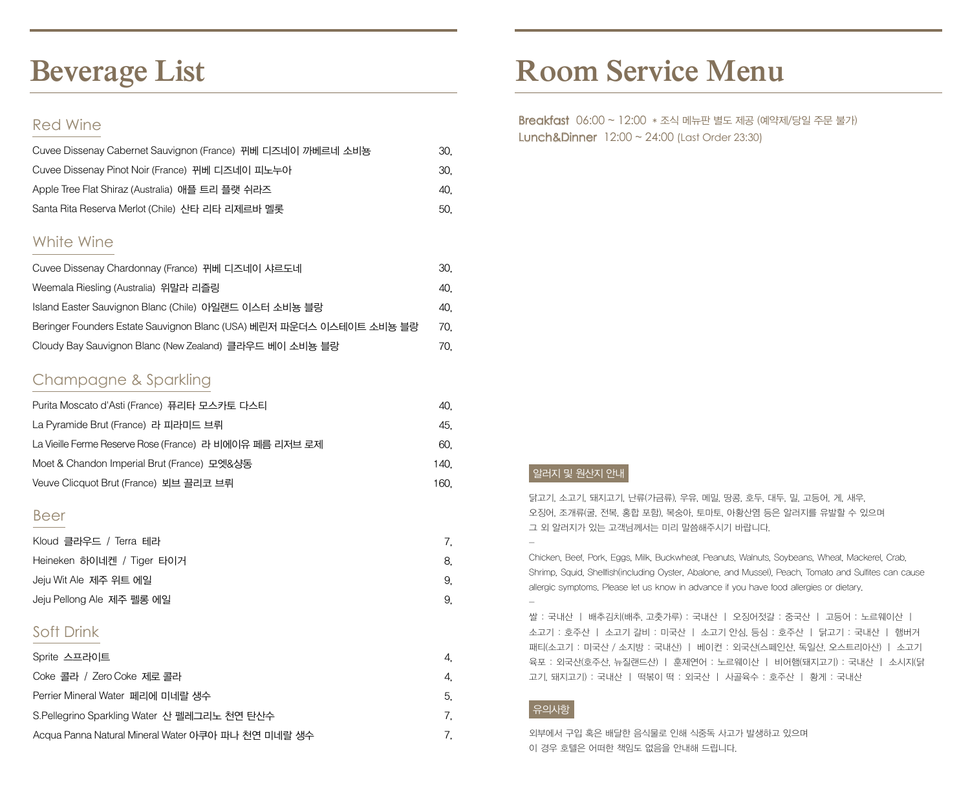# **Beverage List**

### Red Wine

| Cuvee Dissenay Cabernet Sauvignon (France) 뀌베 디즈네이 까베르네 소비뇽 | 30. |
|-------------------------------------------------------------|-----|
| Cuvee Dissenay Pinot Noir (France) 뀌베 디즈네이 피노누아             | 30. |
| Apple Tree Flat Shiraz (Australia) 애플 트리 플랫 쉬라즈             | 40. |
| Santa Rita Reserva Merlot (Chile) 사타 리타 리제르바 멜롯             | 50. |

## White Wine

| Cuvee Dissenay Chardonnay (France) 뀌베 디즈네이 샤르도네                      | 30. |
|----------------------------------------------------------------------|-----|
| Weemala Riesling (Australia) 위말라 리즐링                                 | 40. |
| Island Easter Sauvignon Blanc (Chile) 아일랜드 이스터 소비뇽 블랑                | 40. |
| Beringer Founders Estate Sauvignon Blanc (USA) 베린저 파운더스 이스테이트 소비뇽 블랑 | 70. |
| Cloudy Bay Sauvignon Blanc (New Zealand) 클라우드 베이 소비뇽 블랑              | 70. |

## Champagne & Sparkling

| Purita Moscato d'Asti (France) 퓨리타 모스카토 다스티             | 40.  |  |
|---------------------------------------------------------|------|--|
| La Pyramide Brut (France) 라 피라미드 브뤼                     | 45.  |  |
| La Vieille Ferme Reserve Rose (France) 라 비에이유 페름 리저브 로제 | 60.  |  |
| Moet & Chandon Imperial Brut (France) 모엣&샹동             | 140. |  |
| Veuve Clicquot Brut (France) 뵈브 끌리코 브뤼                  | 160. |  |

#### Beer

| Kloud 클라우드 / Terra 테라     |    |
|---------------------------|----|
| Heineken 하이네켄 / Tiger 타이거 | 8. |
| Jeju Wit Ale 제주 위트 에일     | 9. |
| Jeju Pellong Ale 제주 펠롱 에일 | 9. |

## Soft Drink

| Sprite 스프라이트                                       | 4. |
|----------------------------------------------------|----|
| Coke 콜라 / Zero Coke 제로 콜라                          | 4. |
| Perrier Mineral Water 페리에 미네랄 생수                   | 5. |
| S.Pellegrino Sparkling Water 산 펠레그리노 천연 탄산수        |    |
| Acqua Panna Natural Mineral Water 아쿠아 파나 천연 미네랄 생수 |    |

# **Room Service Menu**

 Breakfast 06:00 ~ 12:00 \* 조식 메뉴판 별도 제공 (예약제/당일 주문 불가) Lunch&Dinner 12:00 ~ 24:00 (Last Order 23:30)

### 알러지 및 원산지 안내

닭고기, 소고기, 돼지고기, 난류(가금류), 우유, 메밀, 땅콩, 호두, 대두, 밀, 고등어, 게, 새우, 오징어, 조개류(굴, 전복, 홍합 포함), 복숭아, 토마토, 아황산염 등은 알러지를 유발할 수 있으며 그 외 알러지가 있는 고객님께서는 미리 말씀해주시기 바랍니다.

Chicken, Beef, Pork, Eggs, Milk, Buckwheat, Peanuts, Walnuts, Soybeans, Wheat, Mackerel, Crab, Shrimp, Squid, Shellfish(including Oyster, Abalone, and Mussel), Peach, Tomato and Sulfites can cause allergic symptoms. Please let us know in advance if you have food allergies or dietary.

쌀 : 국내산 ㅣ 배추김치(배추, 고춧가루) : 국내산 ㅣ 오징어젓갈 : 중국산 ㅣ 고등어 : 노르웨이산 ㅣ 소고기 : 호주산 ㅣ 소고기 갈비 : 미국산 ㅣ 소고기 안심, 등심 : 호주산 ㅣ 닭고기 : 국내산 ㅣ 햄버거 패티(소고기 : 미국산 / 소지방 : 국내산) ㅣ 베이컨 : 외국산(스페인산, 독일산, 오스트리아산) ㅣ 소고기 육포 : 외국산(호주산, 뉴질랜드산) ㅣ 훈제연어 : 노르웨이산 ㅣ 비어햄(돼지고기) : 국내산 ㅣ 소시지(닭 고기, 돼지고기) : 국내산 ㅣ 떡볶이 떡 : 외국산 ㅣ 사골육수 : 호주산 ㅣ 황게 : 국내산

#### 유의사항

-

-

외부에서 구입 혹은 배달한 음식물로 인해 식중독 사고가 발생하고 있으며 이 경우 호텔은 어떠한 책임도 없음을 안내해 드립니다.